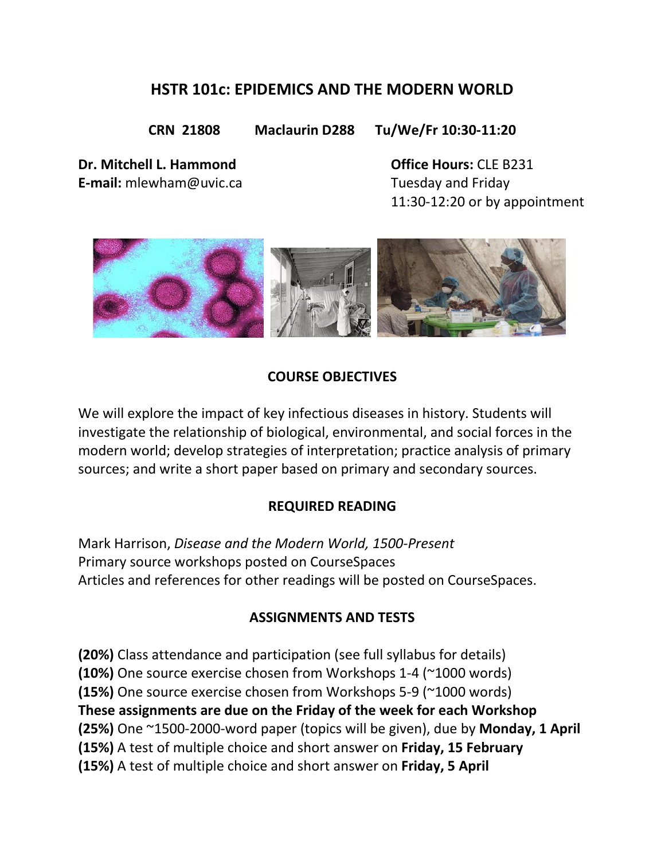# **HSTR 101c: EPIDEMICS AND THE MODERN WORLD**

**CRN 21808 Maclaurin D288 Tu/We/Fr 10:30-11:20**

**Dr. Mitchell L. Hammond Office Hours:** CLE B231 **E-mail:** [mlewham@uvic.ca](mailto:mlewham@uvic.ca) Tuesday and Friday

11:30-12:20 or by appointment



## **COURSE OBJECTIVES**

We will explore the impact of key infectious diseases in history. Students will investigate the relationship of biological, environmental, and social forces in the modern world; develop strategies of interpretation; practice analysis of primary sources; and write a short paper based on primary and secondary sources.

### **REQUIRED READING**

Mark Harrison, *Disease and the Modern World, 1500-Present* Primary source workshops posted on CourseSpaces Articles and references for other readings will be posted on CourseSpaces.

### **ASSIGNMENTS AND TESTS**

**(20%)** Class attendance and participation (see full syllabus for details) **(10%)** One source exercise chosen from Workshops 1-4 (~1000 words) **(15%)** One source exercise chosen from Workshops 5-9 (~1000 words) **These assignments are due on the Friday of the week for each Workshop (25%)** One ~1500-2000-word paper (topics will be given), due by **Monday, 1 April (15%)** A test of multiple choice and short answer on **Friday, 15 February (15%)** A test of multiple choice and short answer on **Friday, 5 April**